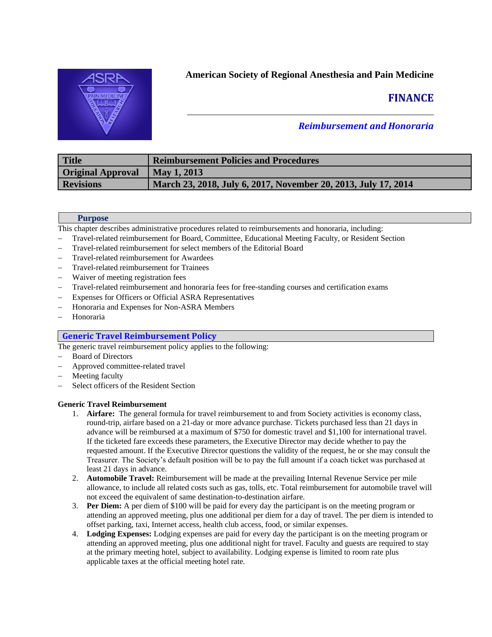

## **American Society of Regional Anesthesia and Pain Medicine**

# **FINANCE**

## *Reimbursement and Honoraria*

| Title                    | <b>Reimbursement Policies and Procedures</b>                   |
|--------------------------|----------------------------------------------------------------|
| <b>Original Approval</b> | May 1, 2013                                                    |
| <b>Revisions</b>         | March 23, 2018, July 6, 2017, November 20, 2013, July 17, 2014 |

## **Purpose**

This chapter describes administrative procedures related to reimbursements and honoraria, including:

- − Travel-related reimbursement for Board, Committee, Educational Meeting Faculty, or Resident Section
- Travel-related reimbursement for select members of the Editorial Board
- Travel-related reimbursement for Awardees
- Travel-related reimbursement for Trainees
- − Waiver of meeting registration fees
- Travel-related reimbursement and honoraria fees for free-standing courses and certification exams
- Expenses for Officers or Official ASRA Representatives
- − Honoraria and Expenses for Non-ASRA Members
- − Honoraria

## **Generic Travel Reimbursement Policy**

The generic travel reimbursement policy applies to the following:

- Board of Directors
- − Approved committee-related travel
- Meeting faculty
- Select officers of the Resident Section

## **Generic Travel Reimbursement**

- 1. **Airfare:** The general formula for travel reimbursement to and from Society activities is economy class, round-trip, airfare based on a 21-day or more advance purchase. Tickets purchased less than 21 days in advance will be reimbursed at a maximum of \$750 for domestic travel and \$1,100 for international travel. If the ticketed fare exceeds these parameters, the Executive Director may decide whether to pay the requested amount. If the Executive Director questions the validity of the request, he or she may consult the Treasurer. The Society's default position will be to pay the full amount if a coach ticket was purchased at least 21 days in advance.
- 2. **Automobile Travel:** Reimbursement will be made at the prevailing Internal Revenue Service per mile allowance, to include all related costs such as gas, tolls, etc. Total reimbursement for automobile travel will not exceed the equivalent of same destination-to-destination airfare.
- 3. **Per Diem:** A per diem of \$100 will be paid for every day the participant is on the meeting program or attending an approved meeting, plus one additional per diem for a day of travel. The per diem is intended to offset parking, taxi, Internet access, health club access, food, or similar expenses.
- 4. **Lodging Expenses:** Lodging expenses are paid for every day the participant is on the meeting program or attending an approved meeting, plus one additional night for travel. Faculty and guests are required to stay at the primary meeting hotel, subject to availability. Lodging expense is limited to room rate plus applicable taxes at the official meeting hotel rate.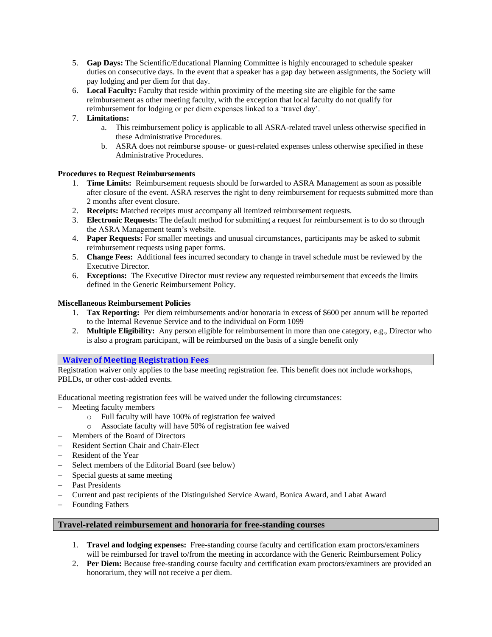- 5. **Gap Days:** The Scientific/Educational Planning Committee is highly encouraged to schedule speaker duties on consecutive days. In the event that a speaker has a gap day between assignments, the Society will pay lodging and per diem for that day.
- 6. **Local Faculty:** Faculty that reside within proximity of the meeting site are eligible for the same reimbursement as other meeting faculty, with the exception that local faculty do not qualify for reimbursement for lodging or per diem expenses linked to a 'travel day'.

## 7. **Limitations:**

- a. This reimbursement policy is applicable to all ASRA-related travel unless otherwise specified in these Administrative Procedures.
- b. ASRA does not reimburse spouse- or guest-related expenses unless otherwise specified in these Administrative Procedures.

## **Procedures to Request Reimbursements**

- 1. **Time Limits:** Reimbursement requests should be forwarded to ASRA Management as soon as possible after closure of the event. ASRA reserves the right to deny reimbursement for requests submitted more than 2 months after event closure.
- 2. **Receipts:** Matched receipts must accompany all itemized reimbursement requests.
- 3. **Electronic Requests:** The default method for submitting a request for reimbursement is to do so through the ASRA Management team's website.
- 4. **Paper Requests:** For smaller meetings and unusual circumstances, participants may be asked to submit reimbursement requests using paper forms.
- 5. **Change Fees:** Additional fees incurred secondary to change in travel schedule must be reviewed by the Executive Director.
- 6. **Exceptions:** The Executive Director must review any requested reimbursement that exceeds the limits defined in the Generic Reimbursement Policy.

## **Miscellaneous Reimbursement Policies**

- 1. **Tax Reporting:** Per diem reimbursements and/or honoraria in excess of \$600 per annum will be reported to the Internal Revenue Service and to the individual on Form 1099
- 2. **Multiple Eligibility:** Any person eligible for reimbursement in more than one category, e.g., Director who is also a program participant, will be reimbursed on the basis of a single benefit only

## **Waiver of Meeting Registration Fees**

Registration waiver only applies to the base meeting registration fee. This benefit does not include workshops, PBLDs, or other cost-added events.

Educational meeting registration fees will be waived under the following circumstances:

- − Meeting faculty members
	- o Full faculty will have 100% of registration fee waived
	- o Associate faculty will have 50% of registration fee waived
- − Members of the Board of Directors
- − Resident Section Chair and Chair-Elect
- − Resident of the Year
- Select members of the Editorial Board (see below)
- Special guests at same meeting
- − Past Presidents
- − Current and past recipients of the Distinguished Service Award, Bonica Award, and Labat Award
- − Founding Fathers

## **Travel-related reimbursement and honoraria for free-standing courses**

- 1. **Travel and lodging expenses:** Free-standing course faculty and certification exam proctors/examiners will be reimbursed for travel to/from the meeting in accordance with the Generic Reimbursement Policy
- 2. **Per Diem:** Because free-standing course faculty and certification exam proctors/examiners are provided an honorarium, they will not receive a per diem.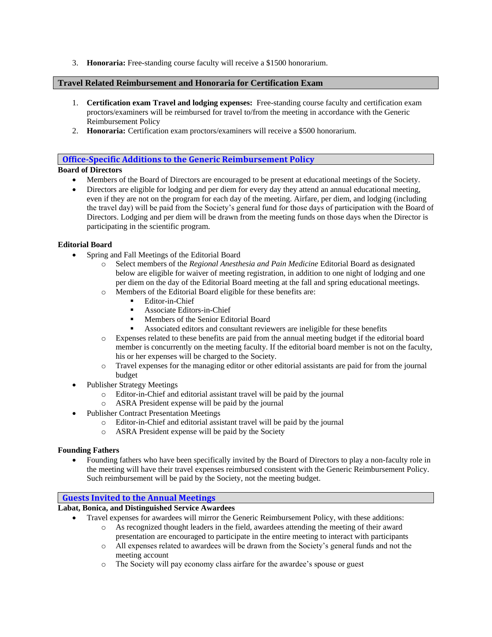3. **Honoraria:** Free-standing course faculty will receive a \$1500 honorarium.

## **Travel Related Reimbursement and Honoraria for Certification Exam**

- 1. **Certification exam Travel and lodging expenses:** Free-standing course faculty and certification exam proctors/examiners will be reimbursed for travel to/from the meeting in accordance with the Generic Reimbursement Policy
- 2. **Honoraria:** Certification exam proctors/examiners will receive a \$500 honorarium.

## **Office-Specific Additions to the Generic Reimbursement Policy**

## **Board of Directors**

- Members of the Board of Directors are encouraged to be present at educational meetings of the Society.
- Directors are eligible for lodging and per diem for every day they attend an annual educational meeting, even if they are not on the program for each day of the meeting. Airfare, per diem, and lodging (including the travel day) will be paid from the Society's general fund for those days of participation with the Board of Directors. Lodging and per diem will be drawn from the meeting funds on those days when the Director is participating in the scientific program.

## **Editorial Board**

- Spring and Fall Meetings of the Editorial Board
	- o Select members of the *Regional Anesthesia and Pain Medicine* Editorial Board as designated below are eligible for waiver of meeting registration, in addition to one night of lodging and one per diem on the day of the Editorial Board meeting at the fall and spring educational meetings.
	- o Members of the Editorial Board eligible for these benefits are:
		- Editor-in-Chief
		- Associate Editors-in-Chief
		- Members of the Senior Editorial Board
		- Associated editors and consultant reviewers are ineligible for these benefits
	- o Expenses related to these benefits are paid from the annual meeting budget if the editorial board member is concurrently on the meeting faculty. If the editorial board member is not on the faculty, his or her expenses will be charged to the Society.
	- o Travel expenses for the managing editor or other editorial assistants are paid for from the journal budget
- Publisher Strategy Meetings
	- o Editor-in-Chief and editorial assistant travel will be paid by the journal
	- o ASRA President expense will be paid by the journal
- Publisher Contract Presentation Meetings
	- o Editor-in-Chief and editorial assistant travel will be paid by the journal
	- o ASRA President expense will be paid by the Society

## **Founding Fathers**

• Founding fathers who have been specifically invited by the Board of Directors to play a non-faculty role in the meeting will have their travel expenses reimbursed consistent with the Generic Reimbursement Policy. Such reimbursement will be paid by the Society, not the meeting budget.

## **Guests Invited to the Annual Meetings**

## **Labat, Bonica, and Distinguished Service Awardees**

- Travel expenses for awardees will mirror the Generic Reimbursement Policy, with these additions:
	- o As recognized thought leaders in the field, awardees attending the meeting of their award presentation are encouraged to participate in the entire meeting to interact with participants
	- o All expenses related to awardees will be drawn from the Society's general funds and not the meeting account
	- o The Society will pay economy class airfare for the awardee's spouse or guest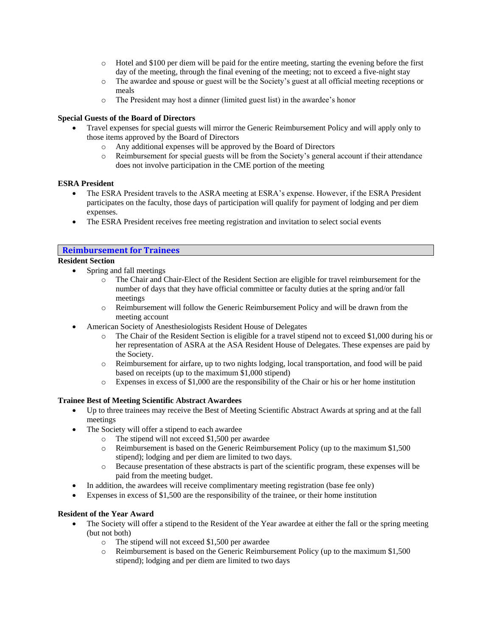- o Hotel and \$100 per diem will be paid for the entire meeting, starting the evening before the first day of the meeting, through the final evening of the meeting; not to exceed a five-night stay
- o The awardee and spouse or guest will be the Society's guest at all official meeting receptions or meals
- o The President may host a dinner (limited guest list) in the awardee's honor

## **Special Guests of the Board of Directors**

- Travel expenses for special guests will mirror the Generic Reimbursement Policy and will apply only to those items approved by the Board of Directors
	- o Any additional expenses will be approved by the Board of Directors
	- o Reimbursement for special guests will be from the Society's general account if their attendance does not involve participation in the CME portion of the meeting

## **ESRA President**

- The ESRA President travels to the ASRA meeting at ESRA's expense. However, if the ESRA President participates on the faculty, those days of participation will qualify for payment of lodging and per diem expenses.
- The ESRA President receives free meeting registration and invitation to select social events

## **Reimbursement for Trainees**

## **Resident Section**

- Spring and fall meetings
	- o The Chair and Chair-Elect of the Resident Section are eligible for travel reimbursement for the number of days that they have official committee or faculty duties at the spring and/or fall meetings
	- o Reimbursement will follow the Generic Reimbursement Policy and will be drawn from the meeting account
- American Society of Anesthesiologists Resident House of Delegates
	- o The Chair of the Resident Section is eligible for a travel stipend not to exceed \$1,000 during his or her representation of ASRA at the ASA Resident House of Delegates. These expenses are paid by the Society.
	- o Reimbursement for airfare, up to two nights lodging, local transportation, and food will be paid based on receipts (up to the maximum \$1,000 stipend)
	- o Expenses in excess of \$1,000 are the responsibility of the Chair or his or her home institution

## **Trainee Best of Meeting Scientific Abstract Awardees**

- Up to three trainees may receive the Best of Meeting Scientific Abstract Awards at spring and at the fall meetings
- The Society will offer a stipend to each awardee
	- o The stipend will not exceed \$1,500 per awardee
	- o Reimbursement is based on the Generic Reimbursement Policy (up to the maximum \$1,500 stipend); lodging and per diem are limited to two days.
	- o Because presentation of these abstracts is part of the scientific program, these expenses will be paid from the meeting budget.
- In addition, the awardees will receive complimentary meeting registration (base fee only)
- Expenses in excess of \$1,500 are the responsibility of the trainee, or their home institution

## **Resident of the Year Award**

- The Society will offer a stipend to the Resident of the Year awardee at either the fall or the spring meeting (but not both)
	- o The stipend will not exceed \$1,500 per awardee
	- o Reimbursement is based on the Generic Reimbursement Policy (up to the maximum \$1,500 stipend); lodging and per diem are limited to two days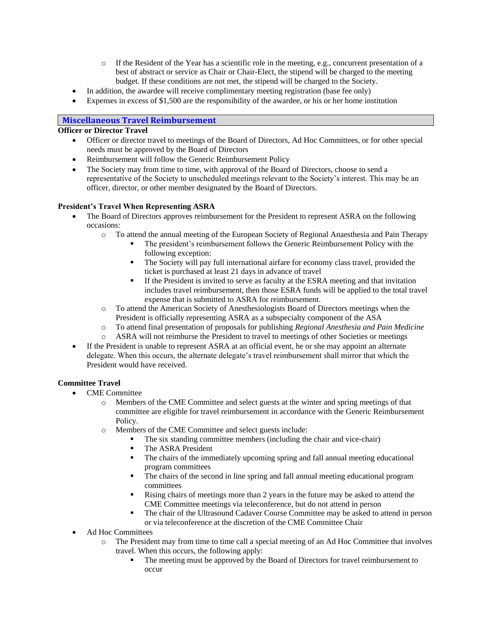- o If the Resident of the Year has a scientific role in the meeting, e.g., concurrent presentation of a best of abstract or service as Chair or Chair-Elect, the stipend will be charged to the meeting budget. If these conditions are not met, the stipend will be charged to the Society.
- In addition, the awardee will receive complimentary meeting registration (base fee only)
- Expenses in excess of \$1,500 are the responsibility of the awardee, or his or her home institution

## **Miscellaneous Travel Reimbursement**

## **Officer or Director Travel**

- Officer or director travel to meetings of the Board of Directors, Ad Hoc Committees, or for other special needs must be approved by the Board of Directors
- Reimbursement will follow the Generic Reimbursement Policy
- The Society may from time to time, with approval of the Board of Directors, choose to send a representative of the Society to unscheduled meetings relevant to the Society's interest. This may be an officer, director, or other member designated by the Board of Directors.

## **President's Travel When Representing ASRA**

- The Board of Directors approves reimbursement for the President to represent ASRA on the following occasions:
	- o To attend the annual meeting of the European Society of Regional Anaesthesia and Pain Therapy
		- The president's reimbursement follows the Generic Reimbursement Policy with the following exception:
		- The Society will pay full international airfare for economy class travel, provided the ticket is purchased at least 21 days in advance of travel
		- If the President is invited to serve as faculty at the ESRA meeting and that invitation includes travel reimbursement, then those ESRA funds will be applied to the total travel expense that is submitted to ASRA for reimbursement.
	- o To attend the American Society of Anesthesiologists Board of Directors meetings when the President is officially representing ASRA as a subspecialty component of the ASA
	- o To attend final presentation of proposals for publishing *Regional Anesthesia and Pain Medicine*
	- o ASRA will not reimburse the President to travel to meetings of other Societies or meetings
- If the President is unable to represent ASRA at an official event, he or she may appoint an alternate delegate. When this occurs, the alternate delegate's travel reimbursement shall mirror that which the President would have received.

## **Committee Travel**

- CME Committee
	- o Members of the CME Committee and select guests at the winter and spring meetings of that committee are eligible for travel reimbursement in accordance with the Generic Reimbursement Policy.
	- o Members of the CME Committee and select guests include:
		- The six standing committee members (including the chair and vice-chair)
		- The ASRA President
		- The chairs of the immediately upcoming spring and fall annual meeting educational program committees
		- The chairs of the second in line spring and fall annual meeting educational program committees
		- Rising chairs of meetings more than 2 years in the future may be asked to attend the CME Committee meetings via teleconference, but do not attend in person
		- The chair of the Ultrasound Cadaver Course Committee may be asked to attend in person or via teleconference at the discretion of the CME Committee Chair
- Ad Hoc Committees
	- o The President may from time to time call a special meeting of an Ad Hoc Committee that involves travel. When this occurs, the following apply:
		- The meeting must be approved by the Board of Directors for travel reimbursement to occur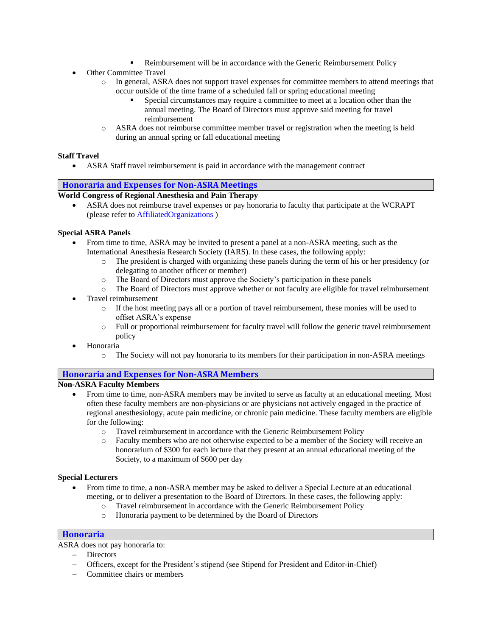- Reimbursement will be in accordance with the Generic Reimbursement Policy
- **Other Committee Travel** 
	- o In general, ASRA does not support travel expenses for committee members to attend meetings that occur outside of the time frame of a scheduled fall or spring educational meeting
		- Special circumstances may require a committee to meet at a location other than the annual meeting. The Board of Directors must approve said meeting for travel reimbursement
	- o ASRA does not reimburse committee member travel or registration when the meeting is held during an annual spring or fall educational meeting

## **Staff Travel**

• ASRA Staff travel reimbursement is paid in accordance with the management contract

## **Honoraria and Expenses for Non-ASRA Meetings**

**World Congress of Regional Anesthesia and Pain Therapy**

• ASRA does not reimburse travel expenses or pay honoraria to faculty that participate at the WCRAPT (please refer to AffiliatedOrganizations )

#### **Special ASRA Panels**

- From time to time, ASRA may be invited to present a panel at a non-ASRA meeting, such as the International Anesthesia Research Society (IARS). In these cases, the following apply:
	- o The president is charged with organizing these panels during the term of his or her presidency (or delegating to another officer or member)
	- o The Board of Directors must approve the Society's participation in these panels
	- o The Board of Directors must approve whether or not faculty are eligible for travel reimbursement
- Travel reimbursement
	- o If the host meeting pays all or a portion of travel reimbursement, these monies will be used to offset ASRA's expense
	- o Full or proportional reimbursement for faculty travel will follow the generic travel reimbursement policy
- Honoraria
	- o The Society will not pay honoraria to its members for their participation in non-ASRA meetings

## **Honoraria and Expenses for Non-ASRA Members**

## **Non-ASRA Faculty Members**

- From time to time, non-ASRA members may be invited to serve as faculty at an educational meeting. Most often these faculty members are non-physicians or are physicians not actively engaged in the practice of regional anesthesiology, acute pain medicine, or chronic pain medicine. These faculty members are eligible for the following:
	- o Travel reimbursement in accordance with the Generic Reimbursement Policy
	- o Faculty members who are not otherwise expected to be a member of the Society will receive an honorarium of \$300 for each lecture that they present at an annual educational meeting of the Society, to a maximum of \$600 per day

#### **Special Lecturers**

- From time to time, a non-ASRA member may be asked to deliver a Special Lecture at an educational meeting, or to deliver a presentation to the Board of Directors. In these cases, the following apply:
	- o Travel reimbursement in accordance with the Generic Reimbursement Policy
	- o Honoraria payment to be determined by the Board of Directors

#### **Honoraria**

ASRA does not pay honoraria to:

- − Directors
- − Officers, except for the President's stipend (see Stipend for President and Editor-in-Chief)
- − Committee chairs or members